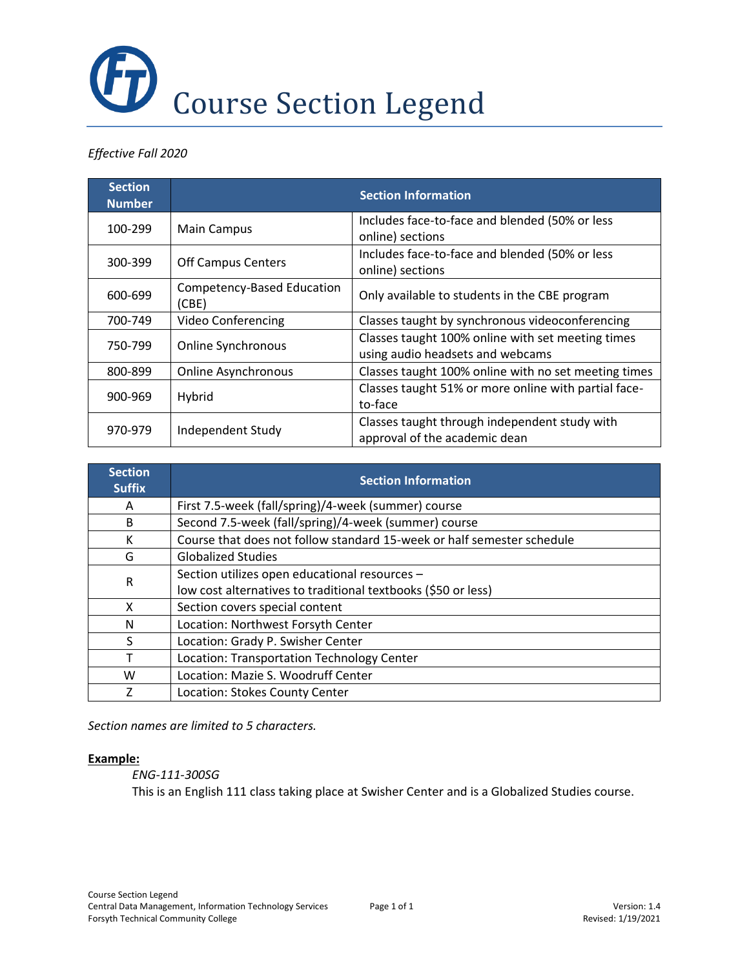

## *Effective Fall 2020*

| <b>Section</b><br><b>Number</b> |                                     | <b>Section Information</b>                                                            |
|---------------------------------|-------------------------------------|---------------------------------------------------------------------------------------|
| 100-299                         | <b>Main Campus</b>                  | Includes face-to-face and blended (50% or less<br>online) sections                    |
| 300-399                         | <b>Off Campus Centers</b>           | Includes face-to-face and blended (50% or less<br>online) sections                    |
| 600-699                         | Competency-Based Education<br>(CBE) | Only available to students in the CBE program                                         |
| 700-749                         | <b>Video Conferencing</b>           | Classes taught by synchronous videoconferencing                                       |
| 750-799                         | Online Synchronous                  | Classes taught 100% online with set meeting times<br>using audio headsets and webcams |
| 800-899                         | <b>Online Asynchronous</b>          | Classes taught 100% online with no set meeting times                                  |
| 900-969                         | Hybrid                              | Classes taught 51% or more online with partial face-<br>to-face                       |
| 970-979                         | Independent Study                   | Classes taught through independent study with<br>approval of the academic dean        |

| <b>Section</b><br><b>Suffix</b> | <b>Section Information</b>                                             |  |  |
|---------------------------------|------------------------------------------------------------------------|--|--|
| Α                               | First 7.5-week (fall/spring)/4-week (summer) course                    |  |  |
| B                               | Second 7.5-week (fall/spring)/4-week (summer) course                   |  |  |
| к                               | Course that does not follow standard 15-week or half semester schedule |  |  |
| G                               | <b>Globalized Studies</b>                                              |  |  |
| $\mathsf{R}$                    | Section utilizes open educational resources -                          |  |  |
|                                 | low cost alternatives to traditional textbooks (\$50 or less)          |  |  |
| X                               | Section covers special content                                         |  |  |
| N                               | Location: Northwest Forsyth Center                                     |  |  |
| S                               | Location: Grady P. Swisher Center                                      |  |  |
|                                 | Location: Transportation Technology Center                             |  |  |
| W                               | Location: Mazie S. Woodruff Center                                     |  |  |
|                                 | Location: Stokes County Center                                         |  |  |

*Section names are limited to 5 characters.*

## **Example:**

## *ENG-111-300SG*

This is an English 111 class taking place at Swisher Center and is a Globalized Studies course.